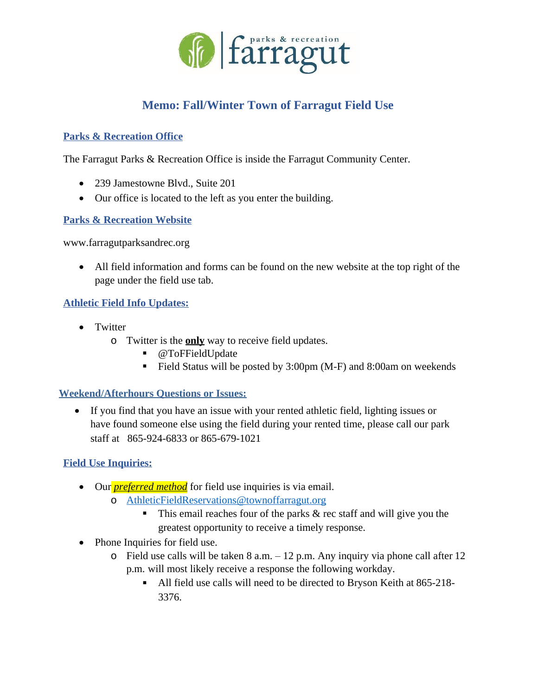

# **Memo: Fall/Winter Town of Farragut Field Use**

## **Parks & Recreation Office**

The Farragut Parks & Recreation Office is inside the Farragut Community Center.

- 239 Jamestowne Blvd., Suite 201
- Our office is located to the left as you enter the building.

## **Parks & Recreation Website**

[www.farragutparksandrec.org](http://www.farragutparksandrec.org/)

 All field information and forms can be found on the new website at the top right of the page under the field use tab.

## **Athletic Field Info Updates:**

- Twitter
	- o Twitter is the **only** way to receive field updates.
		- @ToFFieldUpdate
		- Field Status will be posted by 3:00pm (M-F) and 8:00am on weekends

### **Weekend/Afterhours Questions or Issues:**

 If you find that you have an issue with your rented athletic field, lighting issues or have found someone else using the field during your rented time, please call our park staff at 865-924-6833 or 865-679-1021

# **Field Use Inquiries:**

- Our *preferred method* for field use inquiries is via email.
	- o [AthleticFieldReservations@townoffarragut.org](mailto:AthleticFieldReservations@townoffarragut.org)
		- This email reaches four of the parks & rec staff and will give you the greatest opportunity to receive a timely response.
- Phone Inquiries for field use.
	- $\circ$  Field use calls will be taken 8 a.m.  $-12$  p.m. Any inquiry via phone call after 12 p.m. will most likely receive a response the following workday.
		- All field use calls will need to be directed to Bryson Keith at 865-218- 3376.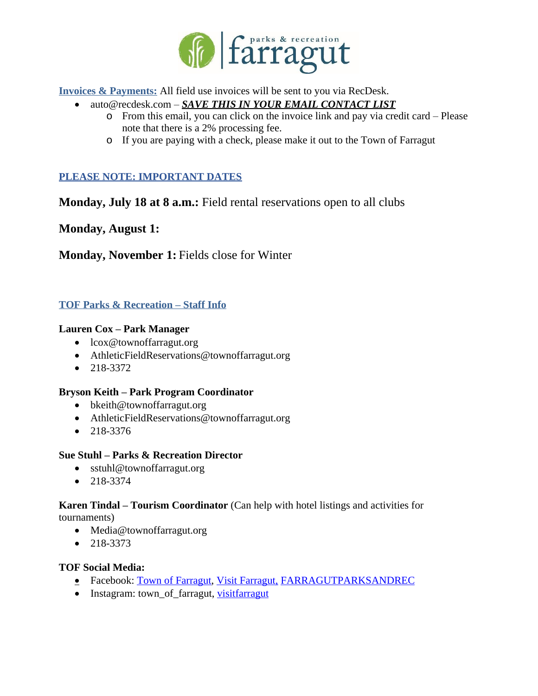

**Invoices & Payments:** All field use invoices will be sent to you via RecDesk.

- auto@recdesk.com *SAVE THIS IN YOUR EMAIL CONTACT LIST*
	- o From this email, you can click on the invoice link and pay via credit card Please note that there is a 2% processing fee.
	- o If you are paying with a check, please make it out to the Town of Farragut

# **PLEASE NOTE: IMPORTANT DATES**

**Monday, July 18 at 8 a.m.:** Field rental reservations open to all clubs

**Monday, August 1:**

**Monday, November 1:** Fields close for Winter

## **TOF Parks & Recreation – Staff Info**

#### **Lauren Cox – Park Manager**

- lcox@townoffarragut.org
- AthleticFieldReservations@townoffarragut.org
- $\bullet$  218-3372

#### **Bryson Keith – Park Program Coordinator**

- bkeith@townoffarragut.org
- AthleticFieldReservations@townoffarragut.org
- $218 3376$

### **Sue Stuhl – Parks & Recreation Director**

- sstuhl@townoffarragut.org
- $-218-3374$

#### **Karen Tindal – Tourism Coordinator** (Can help with hotel listings and activities for tournaments)

- Media@townoffarragut.org
- $218 3373$

### **TOF Social Media:**

- **EXECUTE:** Facebook: [Town of Farragut,](https://www.facebook.com/townoffarragut/) [Visit Farragut,](https://www.facebook.com/visitfarragut/) FARRAGUTPARKSANDREC
- Instagram: [town\\_of\\_farragut](https://www.instagram.com/town_of_farragut/), [visitfarragut](https://www.instagram.com/visitfarragut/)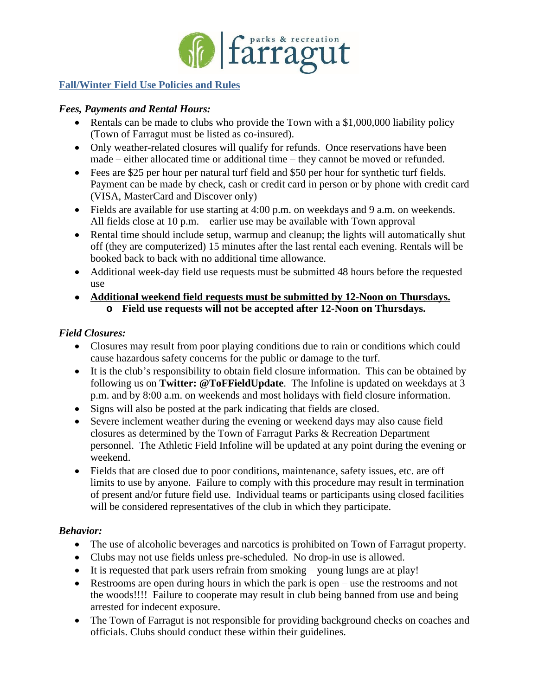

## **Fall/Winter Field Use Policies and Rules**

### *Fees, Payments and Rental Hours:*

- Rentals can be made to clubs who provide the Town with a \$1,000,000 liability policy (Town of Farragut must be listed as co-insured).
- Only weather-related closures will qualify for refunds. Once reservations have been made – either allocated time or additional time – they cannot be moved or refunded.
- Fees are \$25 per hour per natural turf field and \$50 per hour for synthetic turf fields. Payment can be made by check, cash or credit card in person or by phone with credit card (VISA, MasterCard and Discover only)
- Fields are available for use starting at 4:00 p.m. on weekdays and 9 a.m. on weekends. All fields close at 10 p.m. – earlier use may be available with Town approval
- Rental time should include setup, warmup and cleanup; the lights will automatically shut off (they are computerized) 15 minutes after the last rental each evening. Rentals will be booked back to back with no additional time allowance.
- Additional week-day field use requests must be submitted 48 hours before the requested use
- **Additional weekend field requests must be submitted by 12-Noon on Thursdays. o Field use requests will not be accepted after 12-Noon on Thursdays.**

### *Field Closures:*

- Closures may result from poor playing conditions due to rain or conditions which could cause hazardous safety concerns for the public or damage to the turf.
- It is the club's responsibility to obtain field closure information. This can be obtained by following us on **Twitter: @ToFFieldUpdate**. The Infoline is updated on weekdays at 3 p.m. and by 8:00 a.m. on weekends and most holidays with field closure information.
- Signs will also be posted at the park indicating that fields are closed.
- Severe inclement weather during the evening or weekend days may also cause field closures as determined by the Town of Farragut Parks & Recreation Department personnel. The Athletic Field Infoline will be updated at any point during the evening or weekend.
- Fields that are closed due to poor conditions, maintenance, safety issues, etc. are off limits to use by anyone. Failure to comply with this procedure may result in termination of present and/or future field use. Individual teams or participants using closed facilities will be considered representatives of the club in which they participate.

# *Behavior:*

- The use of alcoholic beverages and narcotics is prohibited on Town of Farragut property.
- Clubs may not use fields unless pre-scheduled. No drop-in use is allowed.
- It is requested that park users refrain from smoking young lungs are at play!
- Restrooms are open during hours in which the park is open use the restrooms and not the woods!!!! Failure to cooperate may result in club being banned from use and being arrested for indecent exposure.
- The Town of Farragut is not responsible for providing background checks on coaches and officials. Clubs should conduct these within their guidelines.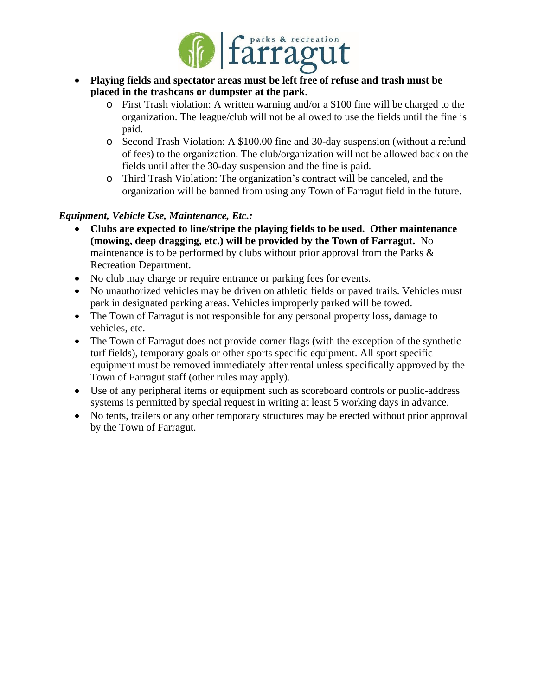

- **Playing fields and spectator areas must be left free of refuse and trash must be placed in the trashcans or dumpster at the park**.
	- o First Trash violation: A written warning and/or a \$100 fine will be charged to the organization. The league/club will not be allowed to use the fields until the fine is paid.
	- o Second Trash Violation: A \$100.00 fine and 30-day suspension (without a refund of fees) to the organization. The club/organization will not be allowed back on the fields until after the 30-day suspension and the fine is paid.
	- o Third Trash Violation: The organization's contract will be canceled, and the organization will be banned from using any Town of Farragut field in the future.

# *Equipment, Vehicle Use, Maintenance, Etc.:*

- **Clubs are expected to line/stripe the playing fields to be used. Other maintenance (mowing, deep dragging, etc.) will be provided by the Town of Farragut.** No maintenance is to be performed by clubs without prior approval from the Parks & Recreation Department.
- No club may charge or require entrance or parking fees for events.
- No unauthorized vehicles may be driven on athletic fields or paved trails. Vehicles must park in designated parking areas. Vehicles improperly parked will be towed.
- The Town of Farragut is not responsible for any personal property loss, damage to vehicles, etc.
- The Town of Farragut does not provide corner flags (with the exception of the synthetic turf fields), temporary goals or other sports specific equipment. All sport specific equipment must be removed immediately after rental unless specifically approved by the Town of Farragut staff (other rules may apply).
- Use of any peripheral items or equipment such as scoreboard controls or public-address systems is permitted by special request in writing at least 5 working days in advance.
- No tents, trailers or any other temporary structures may be erected without prior approval by the Town of Farragut.